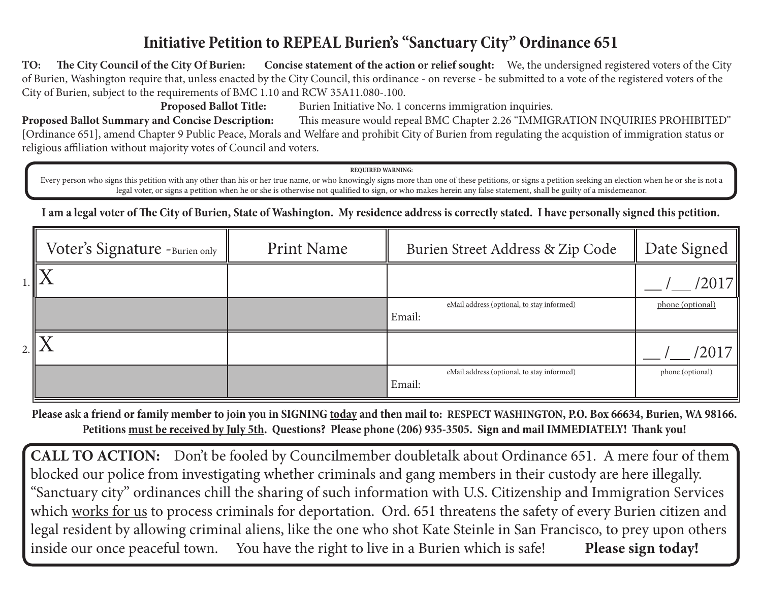# **Initiative Petition to REPEAL Burien's "Sanctuary City" Ordinance 651**

**TO: The City Council of the City Of Burien: Concise statement of the action or relief sought:** We, the undersigned registered voters of the City of Burien, Washington require that, unless enacted by the City Council, this ordinance - on reverse - be submitted to a vote of the registered voters of the City of Burien, subject to the requirements of BMC 1.10 and RCW 35A11.080-.100.

**Proposed Ballot Title:** Burien Initiative No. 1 concerns immigration inquiries.

**Proposed Ballot Summary and Concise Description:** This measure would repeal BMC Chapter 2.26 "IMMIGRATION INQUIRIES PROHIBITED" [Ordinance 651], amend Chapter 9 Public Peace, Morals and Welfare and prohibit City of Burien from regulating the acquistion of immigration status or religious affiliation without majority votes of Council and voters.

**REQUIRED WARNING:**

Every person who signs this petition with any other than his or her true name, or who knowingly signs more than one of these petitions, or signs a petition seeking an election when he or she is not a legal voter, or signs a petition when he or she is otherwise not qualified to sign, or who makes herein any false statement, shall be guilty of a misdemeanor.

**I am a legal voter of The City of Burien, State of Washington. My residence address is correctly stated. I have personally signed this petition.**

| Voter's Signature -Burien only | <b>Print Name</b> | Burien Street Address & Zip Code                     | Date Signed      |
|--------------------------------|-------------------|------------------------------------------------------|------------------|
|                                |                   |                                                      | ′2017∥           |
|                                |                   | eMail address (optional, to stay informed)<br>Email: | phone (optional) |
|                                |                   |                                                      | /2017∥           |
|                                |                   | eMail address (optional, to stay informed)<br>Email: | phone (optional) |

**Please ask a friend or family member to join you in SIGNING today and then mail to: RESPECT WASHINGTON, P.O. Box 66634, Burien, WA 98166. Petitions must be received by July 5th. Questions? Please phone (206) 935-3505. Sign and mail IMMEDIATELY! Thank you!**

**CALL TO ACTION:** Don't be fooled by Councilmember doubletalk about Ordinance 651. A mere four of them blocked our police from investigating whether criminals and gang members in their custody are here illegally. "Sanctuary city" ordinances chill the sharing of such information with U.S. Citizenship and Immigration Services which works for us to process criminals for deportation. Ord. 651 threatens the safety of every Burien citizen and legal resident by allowing criminal aliens, like the one who shot Kate Steinle in San Francisco, to prey upon others inside our once peaceful town. You have the right to live in a Burien which is safe! **Please sign today!**